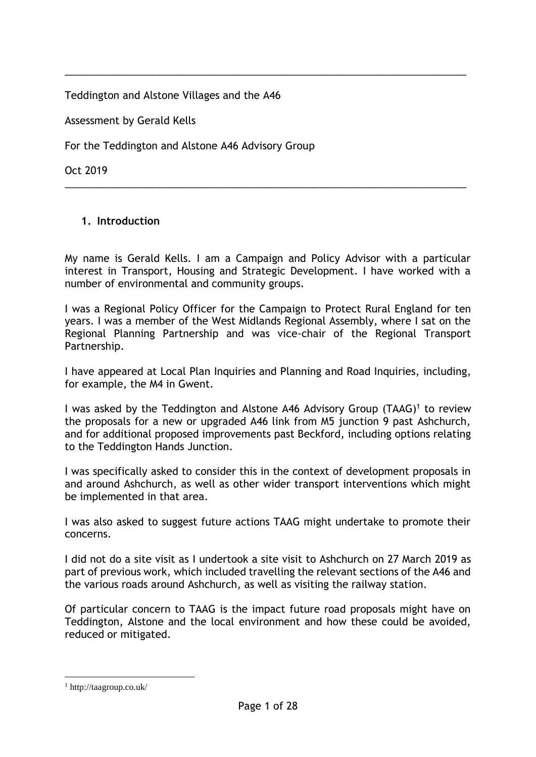Teddington and Alstone Villages and the A46

Assessment by Gerald Kells

For the Teddington and Alstone A46 Advisory Group

Oct 2019

## **1. Introduction**

My name is Gerald Kells. I am a Campaign and Policy Advisor with a particular interest in Transport, Housing and Strategic Development. I have worked with a number of environmental and community groups.

\_\_\_\_\_\_\_\_\_\_\_\_\_\_\_\_\_\_\_\_\_\_\_\_\_\_\_\_\_\_\_\_\_\_\_\_\_\_\_\_\_\_\_\_\_\_\_\_\_\_\_\_\_\_\_\_\_\_\_\_\_\_\_\_\_\_\_\_\_\_\_

\_\_\_\_\_\_\_\_\_\_\_\_\_\_\_\_\_\_\_\_\_\_\_\_\_\_\_\_\_\_\_\_\_\_\_\_\_\_\_\_\_\_\_\_\_\_\_\_\_\_\_\_\_\_\_\_\_\_\_\_\_\_\_\_\_\_\_\_\_\_\_

I was a Regional Policy Officer for the Campaign to Protect Rural England for ten years. I was a member of the West Midlands Regional Assembly, where I sat on the Regional Planning Partnership and was vice-chair of the Regional Transport Partnership.

I have appeared at Local Plan Inquiries and Planning and Road Inquiries, including, for example, the M4 in Gwent.

I was asked by the Teddington and Alstone A46 Advisory Group (TAAG)<sup>1</sup> to review the proposals for a new or upgraded A46 link from M5 junction 9 past Ashchurch, and for additional proposed improvements past Beckford, including options relating to the Teddington Hands Junction.

I was specifically asked to consider this in the context of development proposals in and around Ashchurch, as well as other wider transport interventions which might be implemented in that area.

I was also asked to suggest future actions TAAG might undertake to promote their concerns.

I did not do a site visit as I undertook a site visit to Ashchurch on 27 March 2019 as part of previous work, which included travelling the relevant sections of the A46 and the various roads around Ashchurch, as well as visiting the railway station.

Of particular concern to TAAG is the impact future road proposals might have on Teddington, Alstone and the local environment and how these could be avoided, reduced or mitigated.

<u>.</u>

<sup>1</sup> http://taagroup.co.uk/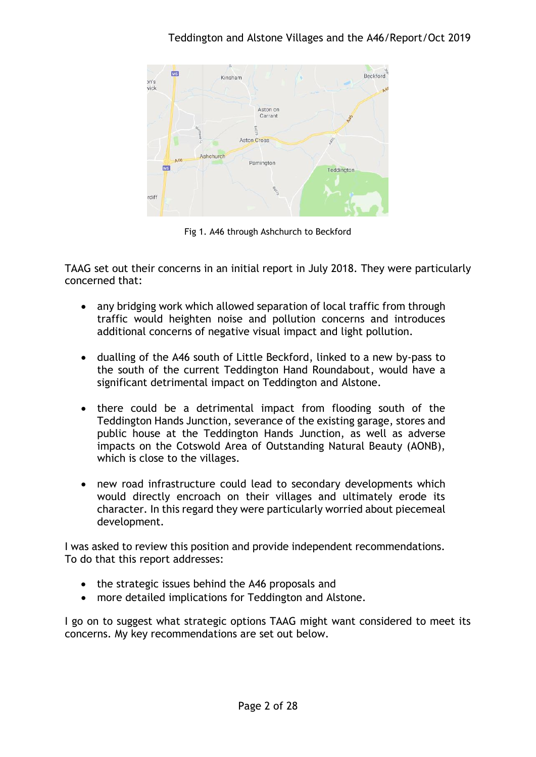

Fig 1. A46 through Ashchurch to Beckford

TAAG set out their concerns in an initial report in July 2018. They were particularly concerned that:

- any bridging work which allowed separation of local traffic from through traffic would heighten noise and pollution concerns and introduces additional concerns of negative visual impact and light pollution.
- dualling of the A46 south of Little Beckford, linked to a new by-pass to the south of the current Teddington Hand Roundabout, would have a significant detrimental impact on Teddington and Alstone.
- there could be a detrimental impact from flooding south of the Teddington Hands Junction, severance of the existing garage, stores and public house at the Teddington Hands Junction, as well as adverse impacts on the Cotswold Area of Outstanding Natural Beauty (AONB), which is close to the villages.
- new road infrastructure could lead to secondary developments which would directly encroach on their villages and ultimately erode its character. In this regard they were particularly worried about piecemeal development.

I was asked to review this position and provide independent recommendations. To do that this report addresses:

- the strategic issues behind the A46 proposals and
- more detailed implications for Teddington and Alstone.

I go on to suggest what strategic options TAAG might want considered to meet its concerns. My key recommendations are set out below.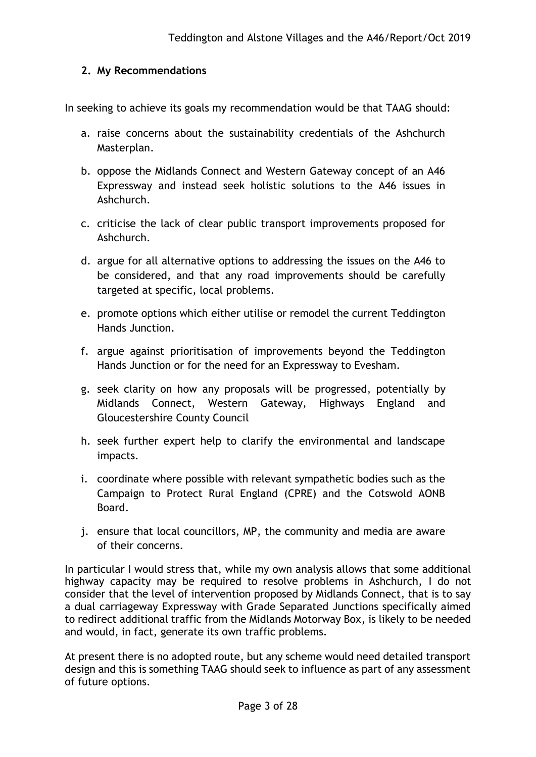## **2. My Recommendations**

In seeking to achieve its goals my recommendation would be that TAAG should:

- a. raise concerns about the sustainability credentials of the Ashchurch Masterplan.
- b. oppose the Midlands Connect and Western Gateway concept of an A46 Expressway and instead seek holistic solutions to the A46 issues in Ashchurch.
- c. criticise the lack of clear public transport improvements proposed for Ashchurch.
- d. argue for all alternative options to addressing the issues on the A46 to be considered, and that any road improvements should be carefully targeted at specific, local problems.
- e. promote options which either utilise or remodel the current Teddington Hands Junction.
- f. argue against prioritisation of improvements beyond the Teddington Hands Junction or for the need for an Expressway to Evesham.
- g. seek clarity on how any proposals will be progressed, potentially by Midlands Connect, Western Gateway, Highways England and Gloucestershire County Council
- h. seek further expert help to clarify the environmental and landscape impacts.
- i. coordinate where possible with relevant sympathetic bodies such as the Campaign to Protect Rural England (CPRE) and the Cotswold AONB Board.
- j. ensure that local councillors, MP, the community and media are aware of their concerns.

In particular I would stress that, while my own analysis allows that some additional highway capacity may be required to resolve problems in Ashchurch, I do not consider that the level of intervention proposed by Midlands Connect, that is to say a dual carriageway Expressway with Grade Separated Junctions specifically aimed to redirect additional traffic from the Midlands Motorway Box, is likely to be needed and would, in fact, generate its own traffic problems.

At present there is no adopted route, but any scheme would need detailed transport design and this is something TAAG should seek to influence as part of any assessment of future options.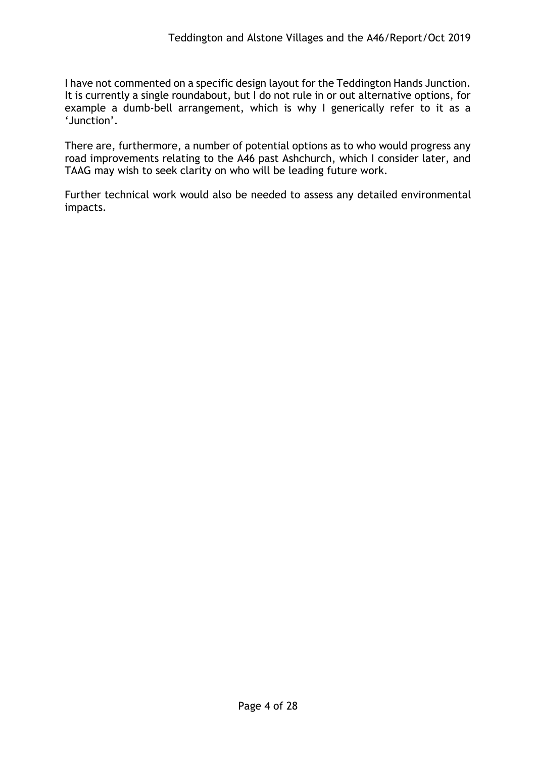I have not commented on a specific design layout for the Teddington Hands Junction. It is currently a single roundabout, but I do not rule in or out alternative options, for example a dumb-bell arrangement, which is why I generically refer to it as a 'Junction'.

There are, furthermore, a number of potential options as to who would progress any road improvements relating to the A46 past Ashchurch, which I consider later, and TAAG may wish to seek clarity on who will be leading future work.

Further technical work would also be needed to assess any detailed environmental impacts.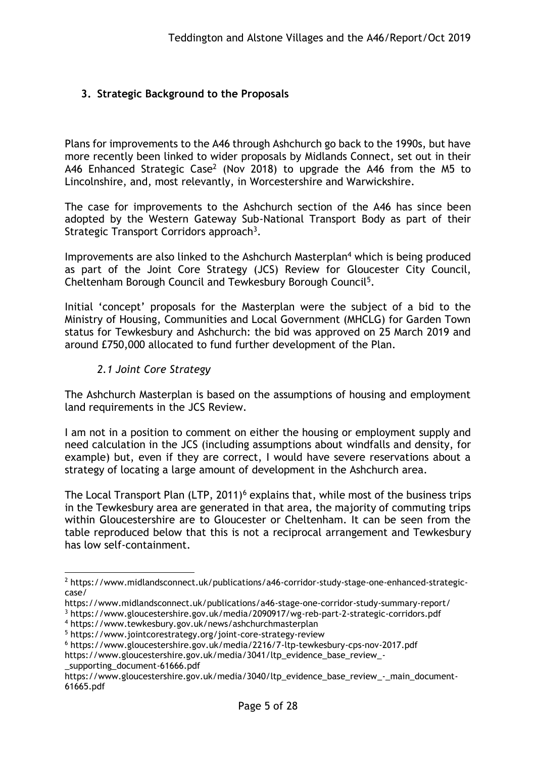# **3. Strategic Background to the Proposals**

Plans for improvements to the A46 through Ashchurch go back to the 1990s, but have more recently been linked to wider proposals by Midlands Connect, set out in their A46 Enhanced Strategic Case<sup>2</sup> (Nov 2018) to upgrade the A46 from the M5 to Lincolnshire, and, most relevantly, in Worcestershire and Warwickshire.

The case for improvements to the Ashchurch section of the A46 has since been adopted by the Western Gateway Sub-National Transport Body as part of their Strategic Transport Corridors approach<sup>3</sup>.

Improvements are also linked to the Ashchurch Masterplan<sup>4</sup> which is being produced as part of the Joint Core Strategy (JCS) Review for Gloucester City Council, Cheltenham Borough Council and Tewkesbury Borough Council<sup>5</sup>.

Initial 'concept' proposals for the Masterplan were the subject of a bid to the Ministry of Housing, Communities and Local Government (MHCLG) for Garden Town status for Tewkesbury and Ashchurch: the bid was approved on 25 March 2019 and around £750,000 allocated to fund further development of the Plan.

#### *2.1 Joint Core Strategy*

The Ashchurch Masterplan is based on the assumptions of housing and employment land requirements in the JCS Review.

I am not in a position to comment on either the housing or employment supply and need calculation in the JCS (including assumptions about windfalls and density, for example) but, even if they are correct, I would have severe reservations about a strategy of locating a large amount of development in the Ashchurch area.

The Local Transport Plan (LTP, 2011)<sup>6</sup> explains that, while most of the business trips in the Tewkesbury area are generated in that area, the majority of commuting trips within Gloucestershire are to Gloucester or Cheltenham. It can be seen from the table reproduced below that this is not a reciprocal arrangement and Tewkesbury has low self-containment.

[\\_supporting\\_document-61666.pdf](https://www.gloucestershire.gov.uk/media/3041/ltp_evidence_base_review_-_supporting_document-61666.pdf)

1

<sup>2</sup> [https://www.midlandsconnect.uk/publications/a46-corridor-study-stage-one-enhanced-strategic](https://www.midlandsconnect.uk/publications/a46-corridor-study-stage-one-enhanced-strategic-case/)[case/](https://www.midlandsconnect.uk/publications/a46-corridor-study-stage-one-enhanced-strategic-case/)

https://www.midlandsconnect.uk/publications/a46-stage-one-corridor-study-summary-report/

<sup>3</sup> https://www.gloucestershire.gov.uk/media/2090917/wg-reb-part-2-strategic-corridors.pdf

<sup>4</sup> https://www.tewkesbury.gov.uk/news/ashchurchmasterplan

<sup>5</sup> https://www.jointcorestrategy.org/joint-core-strategy-review

<sup>6</sup> <https://www.gloucestershire.gov.uk/media/2216/7-ltp-tewkesbury-cps-nov-2017.pdf>

[https://www.gloucestershire.gov.uk/media/3041/ltp\\_evidence\\_base\\_review\\_-](https://www.gloucestershire.gov.uk/media/3041/ltp_evidence_base_review_-_supporting_document-61666.pdf)

https://www.gloucestershire.gov.uk/media/3040/ltp\_evidence\_base\_review\_-\_main\_document-61665.pdf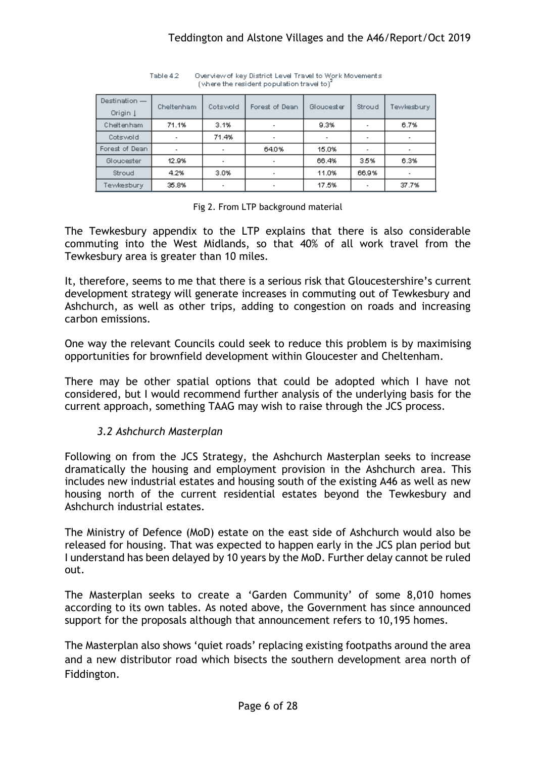| Destination -<br>Origin 1 | Cheltenham               | Cotswold | Forest of Dean           | Gloucester | Stroud | 'ewkesbury. |
|---------------------------|--------------------------|----------|--------------------------|------------|--------|-------------|
| Cheltenham                | 71.1%                    | 3.1%     |                          | 9.3%       |        | 6.7%        |
| Cotswold                  | $\overline{\phantom{a}}$ | 71.4%    | ۰                        |            |        |             |
| Forest of Dean            | $\overline{\phantom{a}}$ |          | 64.0%                    | 15.0%      |        |             |
| Gloucester                | 12.9%                    |          | $\overline{\phantom{a}}$ | 66.4%      | 3.5%   | 6.3%        |
| Stroud                    | 4.2%                     | 3.0%     | $\overline{\phantom{a}}$ | 11.0%      | 66.9%  |             |
| Tewkesbury                | 35.8%                    |          |                          | 17.5%      |        | 37.7%       |

Overview of key District Level Travel to Work Movements Table 4.2 (where the resident population travel to)<sup>2</sup>

#### Fig 2. From LTP background material

The Tewkesbury appendix to the LTP explains that there is also considerable commuting into the West Midlands, so that 40% of all work travel from the Tewkesbury area is greater than 10 miles.

It, therefore, seems to me that there is a serious risk that Gloucestershire's current development strategy will generate increases in commuting out of Tewkesbury and Ashchurch, as well as other trips, adding to congestion on roads and increasing carbon emissions.

One way the relevant Councils could seek to reduce this problem is by maximising opportunities for brownfield development within Gloucester and Cheltenham.

There may be other spatial options that could be adopted which I have not considered, but I would recommend further analysis of the underlying basis for the current approach, something TAAG may wish to raise through the JCS process.

## *3.2 Ashchurch Masterplan*

Following on from the JCS Strategy, the Ashchurch Masterplan seeks to increase dramatically the housing and employment provision in the Ashchurch area. This includes new industrial estates and housing south of the existing A46 as well as new housing north of the current residential estates beyond the Tewkesbury and Ashchurch industrial estates.

The Ministry of Defence (MoD) estate on the east side of Ashchurch would also be released for housing. That was expected to happen early in the JCS plan period but I understand has been delayed by 10 years by the MoD. Further delay cannot be ruled out.

The Masterplan seeks to create a 'Garden Community' of some 8,010 homes according to its own tables. As noted above, the Government has since announced support for the proposals although that announcement refers to 10,195 homes.

The Masterplan also shows 'quiet roads' replacing existing footpaths around the area and a new distributor road which bisects the southern development area north of Fiddington.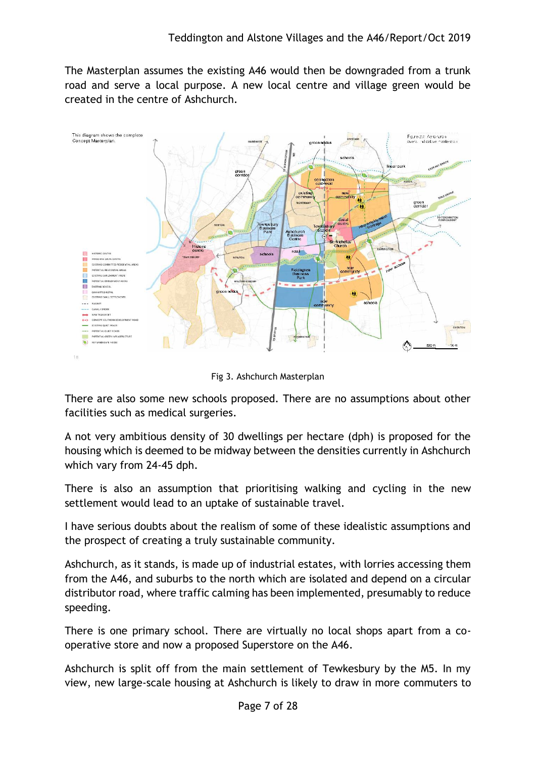The Masterplan assumes the existing A46 would then be downgraded from a trunk road and serve a local purpose. A new local centre and village green would be created in the centre of Ashchurch.



Fig 3. Ashchurch Masterplan

There are also some new schools proposed. There are no assumptions about other facilities such as medical surgeries.

A not very ambitious density of 30 dwellings per hectare (dph) is proposed for the housing which is deemed to be midway between the densities currently in Ashchurch which vary from 24-45 dph.

There is also an assumption that prioritising walking and cycling in the new settlement would lead to an uptake of sustainable travel.

I have serious doubts about the realism of some of these idealistic assumptions and the prospect of creating a truly sustainable community.

Ashchurch, as it stands, is made up of industrial estates, with lorries accessing them from the A46, and suburbs to the north which are isolated and depend on a circular distributor road, where traffic calming has been implemented, presumably to reduce speeding.

There is one primary school. There are virtually no local shops apart from a cooperative store and now a proposed Superstore on the A46.

Ashchurch is split off from the main settlement of Tewkesbury by the M5. In my view, new large-scale housing at Ashchurch is likely to draw in more commuters to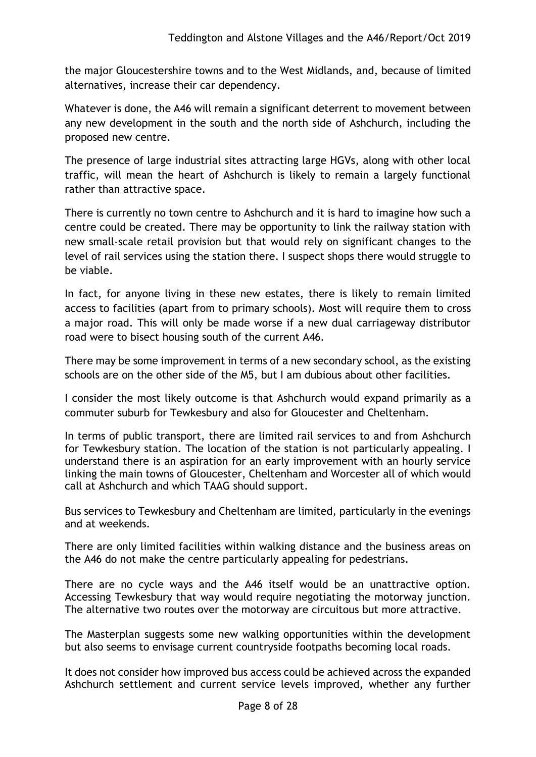the major Gloucestershire towns and to the West Midlands, and, because of limited alternatives, increase their car dependency.

Whatever is done, the A46 will remain a significant deterrent to movement between any new development in the south and the north side of Ashchurch, including the proposed new centre.

The presence of large industrial sites attracting large HGVs, along with other local traffic, will mean the heart of Ashchurch is likely to remain a largely functional rather than attractive space.

There is currently no town centre to Ashchurch and it is hard to imagine how such a centre could be created. There may be opportunity to link the railway station with new small-scale retail provision but that would rely on significant changes to the level of rail services using the station there. I suspect shops there would struggle to be viable.

In fact, for anyone living in these new estates, there is likely to remain limited access to facilities (apart from to primary schools). Most will require them to cross a major road. This will only be made worse if a new dual carriageway distributor road were to bisect housing south of the current A46.

There may be some improvement in terms of a new secondary school, as the existing schools are on the other side of the M5, but I am dubious about other facilities.

I consider the most likely outcome is that Ashchurch would expand primarily as a commuter suburb for Tewkesbury and also for Gloucester and Cheltenham.

In terms of public transport, there are limited rail services to and from Ashchurch for Tewkesbury station. The location of the station is not particularly appealing. I understand there is an aspiration for an early improvement with an hourly service linking the main towns of Gloucester, Cheltenham and Worcester all of which would call at Ashchurch and which TAAG should support.

Bus services to Tewkesbury and Cheltenham are limited, particularly in the evenings and at weekends.

There are only limited facilities within walking distance and the business areas on the A46 do not make the centre particularly appealing for pedestrians.

There are no cycle ways and the A46 itself would be an unattractive option. Accessing Tewkesbury that way would require negotiating the motorway junction. The alternative two routes over the motorway are circuitous but more attractive.

The Masterplan suggests some new walking opportunities within the development but also seems to envisage current countryside footpaths becoming local roads.

It does not consider how improved bus access could be achieved across the expanded Ashchurch settlement and current service levels improved, whether any further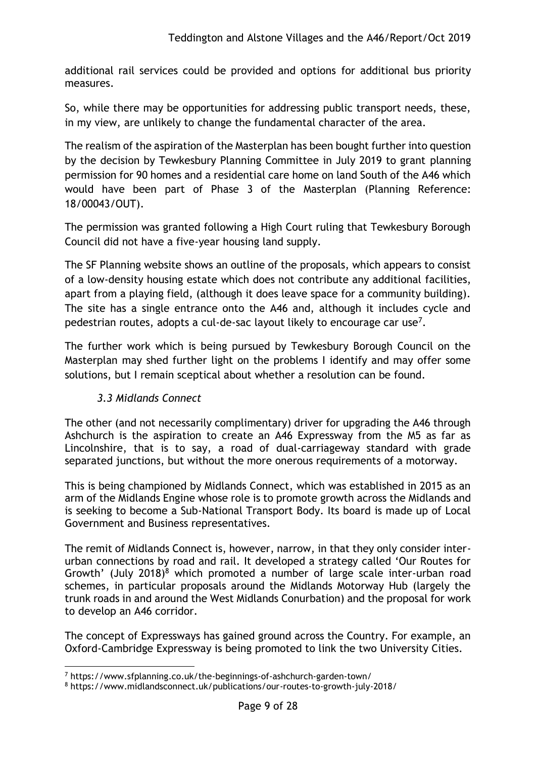additional rail services could be provided and options for additional bus priority measures.

So, while there may be opportunities for addressing public transport needs, these, in my view, are unlikely to change the fundamental character of the area.

The realism of the aspiration of the Masterplan has been bought further into question by the decision by Tewkesbury Planning Committee in July 2019 to grant planning permission for 90 homes and a residential care home on land South of the A46 which would have been part of Phase 3 of the Masterplan (Planning Reference: 18/00043/OUT).

The permission was granted following a High Court ruling that Tewkesbury Borough Council did not have a five-year housing land supply.

The SF Planning website shows an outline of the proposals, which appears to consist of a low-density housing estate which does not contribute any additional facilities, apart from a playing field, (although it does leave space for a community building). The site has a single entrance onto the A46 and, although it includes cycle and pedestrian routes, adopts a cul-de-sac layout likely to encourage car use<sup>7</sup>.

The further work which is being pursued by Tewkesbury Borough Council on the Masterplan may shed further light on the problems I identify and may offer some solutions, but I remain sceptical about whether a resolution can be found.

# *3.3 Midlands Connect*

The other (and not necessarily complimentary) driver for upgrading the A46 through Ashchurch is the aspiration to create an A46 Expressway from the M5 as far as Lincolnshire, that is to say, a road of dual-carriageway standard with grade separated junctions, but without the more onerous requirements of a motorway.

This is being championed by Midlands Connect, which was established in 2015 as an arm of the Midlands Engine whose role is to promote growth across the Midlands and is seeking to become a Sub-National Transport Body. Its board is made up of Local Government and Business representatives.

The remit of Midlands Connect is, however, narrow, in that they only consider interurban connections by road and rail. It developed a strategy called 'Our Routes for Growth' (July 2018)<sup>8</sup> which promoted a number of large scale inter-urban road schemes, in particular proposals around the Midlands Motorway Hub (largely the trunk roads in and around the West Midlands Conurbation) and the proposal for work to develop an A46 corridor.

The concept of Expressways has gained ground across the Country. For example, an Oxford-Cambridge Expressway is being promoted to link the two University Cities.

<sup>1</sup> <sup>7</sup> https://www.sfplanning.co.uk/the-beginnings-of-ashchurch-garden-town/

<sup>8</sup> https://www.midlandsconnect.uk/publications/our-routes-to-growth-july-2018/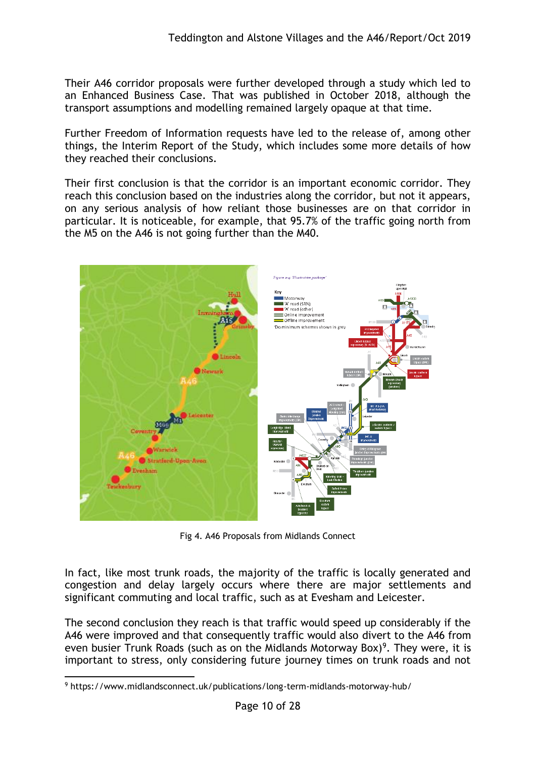Their A46 corridor proposals were further developed through a study which led to an Enhanced Business Case. That was published in October 2018, although the transport assumptions and modelling remained largely opaque at that time.

Further Freedom of Information requests have led to the release of, among other things, the Interim Report of the Study, which includes some more details of how they reached their conclusions.

Their first conclusion is that the corridor is an important economic corridor. They reach this conclusion based on the industries along the corridor, but not it appears, on any serious analysis of how reliant those businesses are on that corridor in particular. It is noticeable, for example, that 95.7% of the traffic going north from the M5 on the A46 is not going further than the M40.



Fig 4. A46 Proposals from Midlands Connect

In fact, like most trunk roads, the majority of the traffic is locally generated and congestion and delay largely occurs where there are major settlements and significant commuting and local traffic, such as at Evesham and Leicester.

The second conclusion they reach is that traffic would speed up considerably if the A46 were improved and that consequently traffic would also divert to the A46 from even busier Trunk Roads (such as on the Midlands Motorway Box)<sup>9</sup>. They were, it is important to stress, only considering future journey times on trunk roads and not

<sup>1</sup> <sup>9</sup> https://www.midlandsconnect.uk/publications/long-term-midlands-motorway-hub/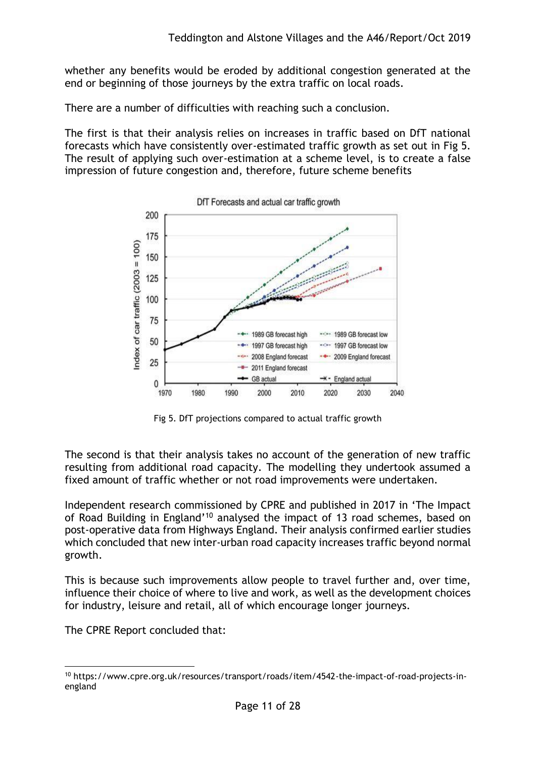whether any benefits would be eroded by additional congestion generated at the end or beginning of those journeys by the extra traffic on local roads.

There are a number of difficulties with reaching such a conclusion.

The first is that their analysis relies on increases in traffic based on DfT national forecasts which have consistently over-estimated traffic growth as set out in Fig 5. The result of applying such over-estimation at a scheme level, is to create a false impression of future congestion and, therefore, future scheme benefits



DfT Forecasts and actual car traffic growth

Fig 5. DfT projections compared to actual traffic growth

The second is that their analysis takes no account of the generation of new traffic resulting from additional road capacity. The modelling they undertook assumed a fixed amount of traffic whether or not road improvements were undertaken.

Independent research commissioned by CPRE and published in 2017 in 'The Impact of Road Building in England'<sup>10</sup> analysed the impact of 13 road schemes, based on post-operative data from Highways England. Their analysis confirmed earlier studies which concluded that new inter-urban road capacity increases traffic beyond normal growth.

This is because such improvements allow people to travel further and, over time, influence their choice of where to live and work, as well as the development choices for industry, leisure and retail, all of which encourage longer journeys.

The CPRE Report concluded that:

<sup>1</sup> <sup>10</sup> https://www.cpre.org.uk/resources/transport/roads/item/4542-the-impact-of-road-projects-inengland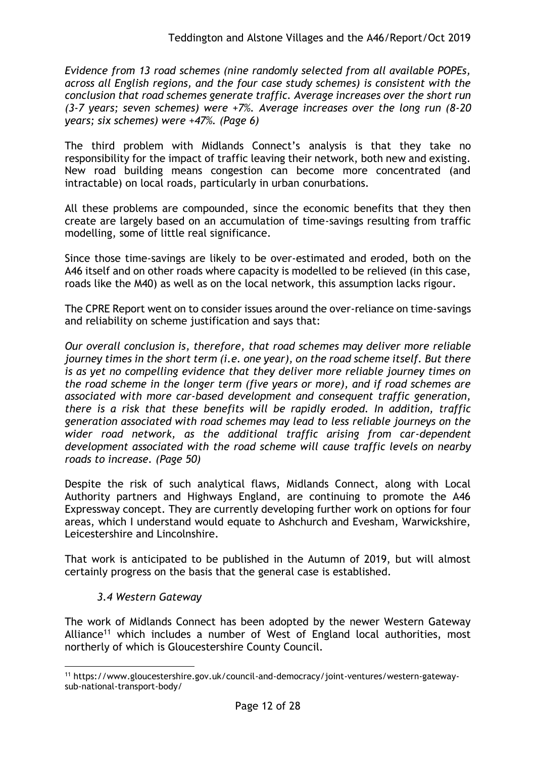*Evidence from 13 road schemes (nine randomly selected from all available POPEs, across all English regions, and the four case study schemes) is consistent with the conclusion that road schemes generate traffic. Average increases over the short run (3-7 years; seven schemes) were +7%. Average increases over the long run (8-20 years; six schemes) were +47%. (Page 6)*

The third problem with Midlands Connect's analysis is that they take no responsibility for the impact of traffic leaving their network, both new and existing. New road building means congestion can become more concentrated (and intractable) on local roads, particularly in urban conurbations.

All these problems are compounded, since the economic benefits that they then create are largely based on an accumulation of time-savings resulting from traffic modelling, some of little real significance.

Since those time-savings are likely to be over-estimated and eroded, both on the A46 itself and on other roads where capacity is modelled to be relieved (in this case, roads like the M40) as well as on the local network, this assumption lacks rigour.

The CPRE Report went on to consider issues around the over-reliance on time-savings and reliability on scheme justification and says that:

*Our overall conclusion is, therefore, that road schemes may deliver more reliable journey times in the short term (i.e. one year), on the road scheme itself. But there is as yet no compelling evidence that they deliver more reliable journey times on the road scheme in the longer term (five years or more), and if road schemes are associated with more car-based development and consequent traffic generation, there is a risk that these benefits will be rapidly eroded. In addition, traffic generation associated with road schemes may lead to less reliable journeys on the wider road network, as the additional traffic arising from car-dependent development associated with the road scheme will cause traffic levels on nearby roads to increase. (Page 50)*

Despite the risk of such analytical flaws, Midlands Connect, along with Local Authority partners and Highways England, are continuing to promote the A46 Expressway concept. They are currently developing further work on options for four areas, which I understand would equate to Ashchurch and Evesham, Warwickshire, Leicestershire and Lincolnshire.

That work is anticipated to be published in the Autumn of 2019, but will almost certainly progress on the basis that the general case is established.

## *3.4 Western Gateway*

The work of Midlands Connect has been adopted by the newer Western Gateway Alliance<sup>11</sup> which includes a number of West of England local authorities, most northerly of which is Gloucestershire County Council.

<sup>1</sup> <sup>11</sup> https://www.gloucestershire.gov.uk/council-and-democracy/joint-ventures/western-gatewaysub-national-transport-body/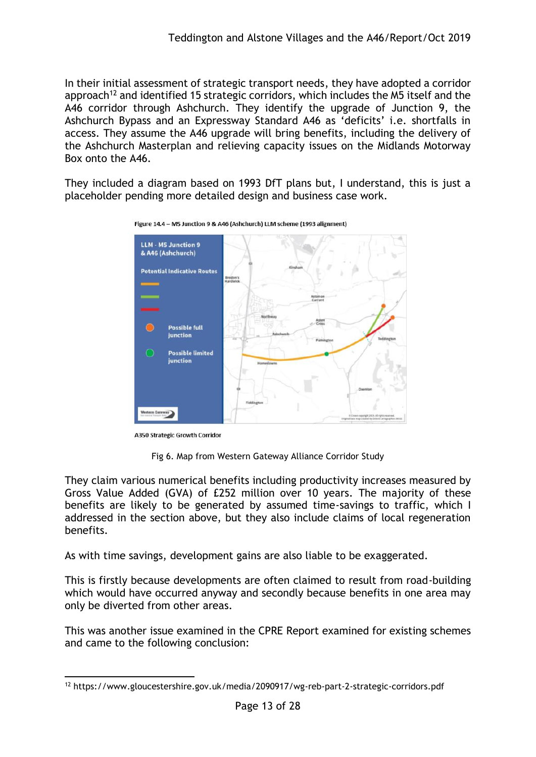In their initial assessment of strategic transport needs, they have adopted a corridor approach<sup>12</sup> and identified 15 strategic corridors, which includes the M5 itself and the A46 corridor through Ashchurch. They identify the upgrade of Junction 9, the Ashchurch Bypass and an Expressway Standard A46 as 'deficits' i.e. shortfalls in access. They assume the A46 upgrade will bring benefits, including the delivery of the Ashchurch Masterplan and relieving capacity issues on the Midlands Motorway Box onto the A46.

They included a diagram based on 1993 DfT plans but, I understand, this is just a placeholder pending more detailed design and business case work.



Figure 14.4 - M5 Junction 9 & A46 (Ashchurch) LLM scheme (1993 alignment)

**A350 Strategic Growth Corridor** 

Fig 6. Map from Western Gateway Alliance Corridor Study

They claim various numerical benefits including productivity increases measured by Gross Value Added (GVA) of £252 million over 10 years. The majority of these benefits are likely to be generated by assumed time-savings to traffic, which I addressed in the section above, but they also include claims of local regeneration benefits.

As with time savings, development gains are also liable to be exaggerated.

This is firstly because developments are often claimed to result from road-building which would have occurred anyway and secondly because benefits in one area may only be diverted from other areas.

This was another issue examined in the CPRE Report examined for existing schemes and came to the following conclusion:

<sup>1</sup> <sup>12</sup> https://www.gloucestershire.gov.uk/media/2090917/wg-reb-part-2-strategic-corridors.pdf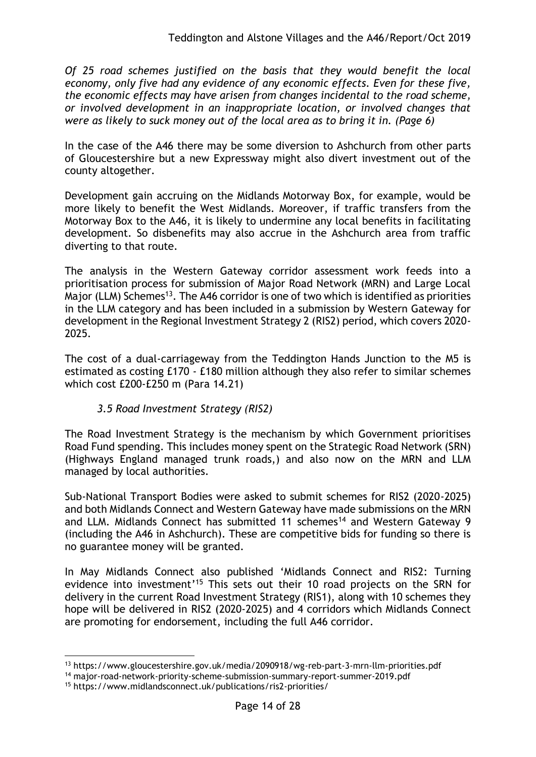*Of 25 road schemes justified on the basis that they would benefit the local economy, only five had any evidence of any economic effects. Even for these five, the economic effects may have arisen from changes incidental to the road scheme, or involved development in an inappropriate location, or involved changes that were as likely to suck money out of the local area as to bring it in. (Page 6)*

In the case of the A46 there may be some diversion to Ashchurch from other parts of Gloucestershire but a new Expressway might also divert investment out of the county altogether.

Development gain accruing on the Midlands Motorway Box, for example, would be more likely to benefit the West Midlands. Moreover, if traffic transfers from the Motorway Box to the A46, it is likely to undermine any local benefits in facilitating development. So disbenefits may also accrue in the Ashchurch area from traffic diverting to that route.

The analysis in the Western Gateway corridor assessment work feeds into a prioritisation process for submission of Major Road Network (MRN) and Large Local Major (LLM) Schemes<sup>13</sup>. The A46 corridor is one of two which is identified as priorities in the LLM category and has been included in a submission by Western Gateway for development in the Regional Investment Strategy 2 (RIS2) period, which covers 2020- 2025.

The cost of a dual-carriageway from the Teddington Hands Junction to the M5 is estimated as costing £170 - £180 million although they also refer to similar schemes which cost £200-£250 m (Para 14.21)

## *3.5 Road Investment Strategy (RIS2)*

The Road Investment Strategy is the mechanism by which Government prioritises Road Fund spending. This includes money spent on the Strategic Road Network (SRN) (Highways England managed trunk roads,) and also now on the MRN and LLM managed by local authorities.

Sub-National Transport Bodies were asked to submit schemes for RIS2 (2020-2025) and both Midlands Connect and Western Gateway have made submissions on the MRN and LLM. Midlands Connect has submitted 11 schemes<sup>14</sup> and Western Gateway 9 (including the A46 in Ashchurch). These are competitive bids for funding so there is no guarantee money will be granted.

In May Midlands Connect also published 'Midlands Connect and RIS2: Turning evidence into investment<sup>'15</sup> This sets out their 10 road projects on the SRN for delivery in the current Road Investment Strategy (RIS1), along with 10 schemes they hope will be delivered in RIS2 (2020-2025) and 4 corridors which Midlands Connect are promoting for endorsement, including the full A46 corridor.

<sup>1</sup> <sup>13</sup> https://www.gloucestershire.gov.uk/media/2090918/wg-reb-part-3-mrn-llm-priorities.pdf

<sup>14</sup> major-road-network-priority-scheme-submission-summary-report-summer-2019.pdf

<sup>15</sup> https://www.midlandsconnect.uk/publications/ris2-priorities/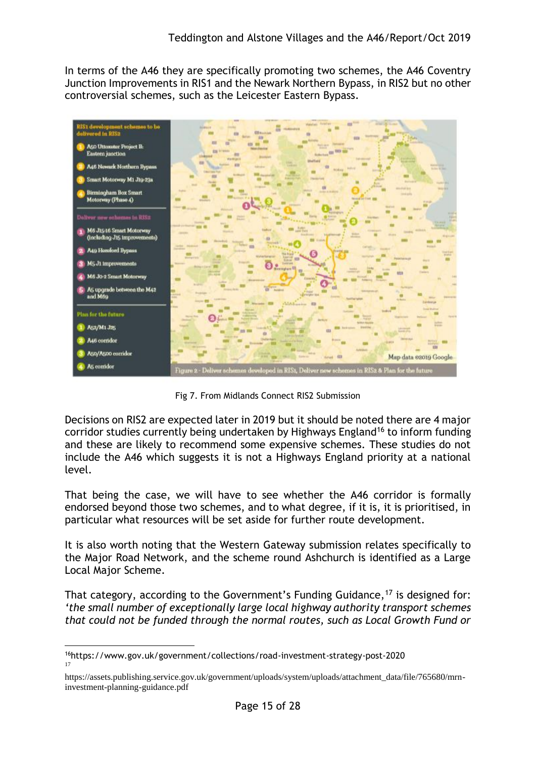In terms of the A46 they are specifically promoting two schemes, the A46 Coventry Junction Improvements in RIS1 and the Newark Northern Bypass, in RIS2 but no other controversial schemes, such as the Leicester Eastern Bypass.



Fig 7. From Midlands Connect RIS2 Submission

Decisions on RIS2 are expected later in 2019 but it should be noted there are 4 major corridor studies currently being undertaken by Highways England<sup>16</sup> to inform funding and these are likely to recommend some expensive schemes. These studies do not include the A46 which suggests it is not a Highways England priority at a national level.

That being the case, we will have to see whether the A46 corridor is formally endorsed beyond those two schemes, and to what degree, if it is, it is prioritised, in particular what resources will be set aside for further route development.

It is also worth noting that the Western Gateway submission relates specifically to the Major Road Network, and the scheme round Ashchurch is identified as a Large Local Major Scheme.

That category, according to the Government's Funding Guidance,<sup>17</sup> is designed for: *'the small number of exceptionally large local highway authority transport schemes that could not be funded through the normal routes, such as Local Growth Fund or* 

<sup>1</sup> <sup>16</sup>https://www.gov.uk/government/collections/road-investment-strategy-post-2020 17

https://assets.publishing.service.gov.uk/government/uploads/system/uploads/attachment\_data/file/765680/mrninvestment-planning-guidance.pdf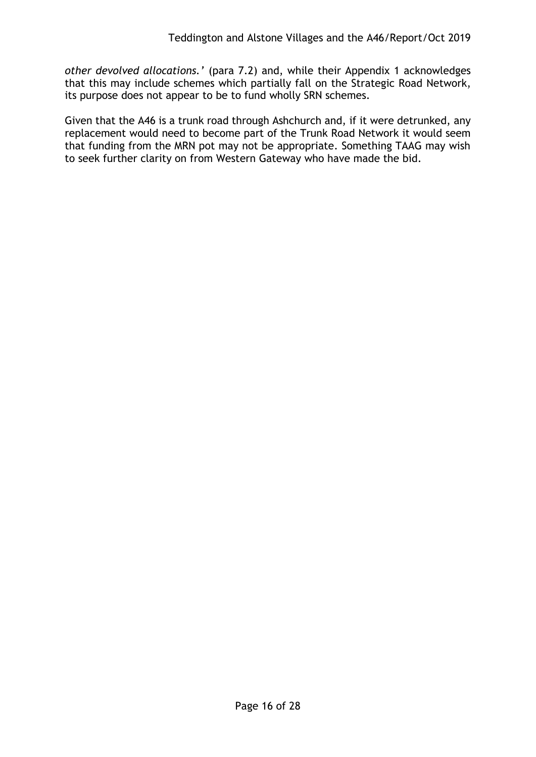*other devolved allocations.'* (para 7.2) and, while their Appendix 1 acknowledges that this may include schemes which partially fall on the Strategic Road Network, its purpose does not appear to be to fund wholly SRN schemes.

Given that the A46 is a trunk road through Ashchurch and, if it were detrunked, any replacement would need to become part of the Trunk Road Network it would seem that funding from the MRN pot may not be appropriate. Something TAAG may wish to seek further clarity on from Western Gateway who have made the bid.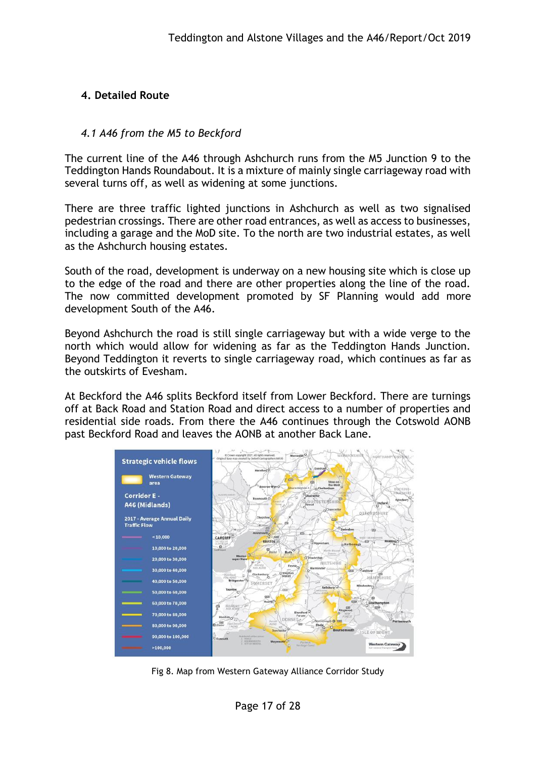## **4. Detailed Route**

#### *4.1 A46 from the M5 to Beckford*

The current line of the A46 through Ashchurch runs from the M5 Junction 9 to the Teddington Hands Roundabout. It is a mixture of mainly single carriageway road with several turns off, as well as widening at some junctions.

There are three traffic lighted junctions in Ashchurch as well as two signalised pedestrian crossings. There are other road entrances, as well as access to businesses, including a garage and the MoD site. To the north are two industrial estates, as well as the Ashchurch housing estates.

South of the road, development is underway on a new housing site which is close up to the edge of the road and there are other properties along the line of the road. The now committed development promoted by SF Planning would add more development South of the A46.

Beyond Ashchurch the road is still single carriageway but with a wide verge to the north which would allow for widening as far as the Teddington Hands Junction. Beyond Teddington it reverts to single carriageway road, which continues as far as the outskirts of Evesham.

At Beckford the A46 splits Beckford itself from Lower Beckford. There are turnings off at Back Road and Station Road and direct access to a number of properties and residential side roads. From there the A46 continues through the Cotswold AONB past Beckford Road and leaves the AONB at another Back Lane.



Fig 8. Map from Western Gateway Alliance Corridor Study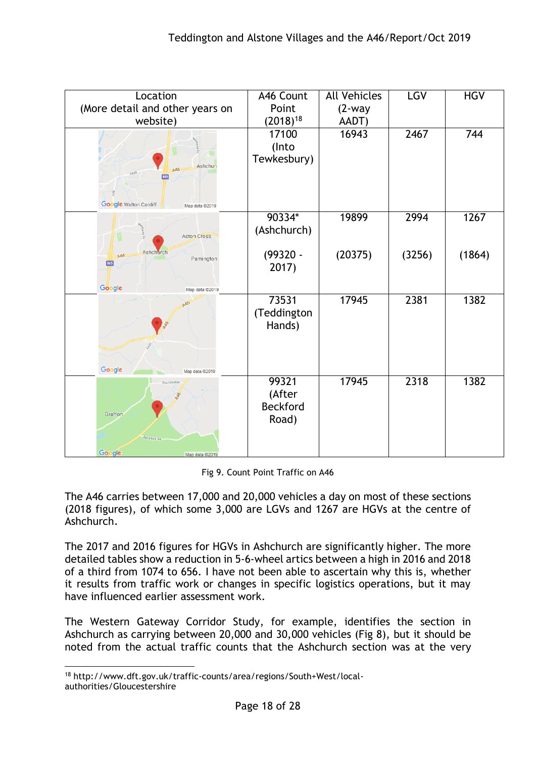| Location                                       | A46 Count     | <b>All Vehicles</b> | LGV    | <b>HGV</b> |
|------------------------------------------------|---------------|---------------------|--------|------------|
| (More detail and other years on                | Point         | $(2-way)$           |        |            |
| website)                                       | $(2018)^{18}$ | AADT)               |        |            |
|                                                | 17100         | 16943               | 2467   | 744        |
|                                                | (Into         |                     |        |            |
|                                                | Tewkesbury)   |                     |        |            |
| <b>Ashchure</b><br>A46<br>A438                 |               |                     |        |            |
|                                                |               |                     |        |            |
|                                                |               |                     |        |            |
| <b>Google</b> Walton Cardiff<br>Map data @2019 |               |                     |        |            |
|                                                | 90334*        | 19899               | 2994   | 1267       |
| <b>Aston Cross</b>                             | (Ashchurch)   |                     |        |            |
|                                                |               |                     |        |            |
| Ashchurch<br>A46<br>Pamington                  | $(99320 -$    | (20375)             | (3256) | (1864)     |
| M <sub>5</sub>                                 | 2017)         |                     |        |            |
|                                                |               |                     |        |            |
| Google<br>Map data @2019                       |               |                     |        |            |
| AAO                                            | 73531         | 17945               | 2381   | 1382       |
|                                                | (Teddington   |                     |        |            |
|                                                | Hands)        |                     |        |            |
|                                                |               |                     |        |            |
|                                                |               |                     |        |            |
| Google<br>Map data @2019                       |               |                     |        |            |
| The Groaten                                    | 99321         | 17945               | 2318   | 1382       |
|                                                | (After        |                     |        |            |
|                                                | Beckford      |                     |        |            |
| Grafton                                        | Road)         |                     |        |            |
|                                                |               |                     |        |            |
| Beckford Rd.                                   |               |                     |        |            |
| Google<br>Map data @2019                       |               |                     |        |            |

Fig 9. Count Point Traffic on A46

The A46 carries between 17,000 and 20,000 vehicles a day on most of these sections (2018 figures), of which some 3,000 are LGVs and 1267 are HGVs at the centre of Ashchurch.

The 2017 and 2016 figures for HGVs in Ashchurch are significantly higher. The more detailed tables show a reduction in 5-6-wheel artics between a high in 2016 and 2018 of a third from 1074 to 656. I have not been able to ascertain why this is, whether it results from traffic work or changes in specific logistics operations, but it may have influenced earlier assessment work.

The Western Gateway Corridor Study, for example, identifies the section in Ashchurch as carrying between 20,000 and 30,000 vehicles (Fig 8), but it should be noted from the actual traffic counts that the Ashchurch section was at the very

<sup>1</sup> <sup>18</sup> http://www.dft.gov.uk/traffic-counts/area/regions/South+West/localauthorities/Gloucestershire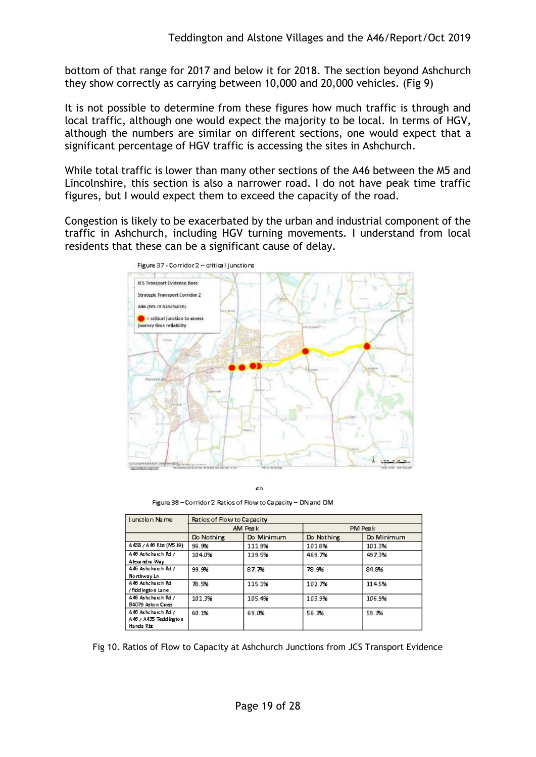bottom of that range for 2017 and below it for 2018. The section beyond Ashchurch they show correctly as carrying between 10,000 and 20,000 vehicles. (Fig 9)

It is not possible to determine from these figures how much traffic is through and local traffic, although one would expect the majority to be local. In terms of HGV, although the numbers are similar on different sections, one would expect that a significant percentage of HGV traffic is accessing the sites in Ashchurch.

While total traffic is lower than many other sections of the A46 between the M5 and Lincolnshire, this section is also a narrower road. I do not have peak time traffic figures, but I would expect them to exceed the capacity of the road.

Congestion is likely to be exacerbated by the urban and industrial component of the traffic in Ashchurch, including HGV turning movements. I understand from local residents that these can be a significant cause of delay.



co

Figure 38 - Corridor 2 Ratios of Flow to Capacity - DN and DM

| Junction Name              | Ratios of Flow to Capacity |            |            |            |  |
|----------------------------|----------------------------|------------|------------|------------|--|
|                            | AM Peak                    |            | PM Peak    |            |  |
|                            | Do Nothing                 | Do Minimum | Do Nothing | Do Minimum |  |
| A 438 / A 46 Rb t (MS 19). | 96.9%                      | 111.9%     | 101.8%     | 101.3%     |  |
| A46 Ashchurch Rd /         | 104.0%                     | 129.5%     | 469.7%     | 497.3%     |  |
| Alexandra Way              |                            |            |            |            |  |
| A46 Ashchurch Rd /         | 99.9%                      | 87.7%      | 78.9%      | 84.8%      |  |
| Northway Ln                |                            |            |            |            |  |
| A 46 Ashchurch Rd          | 78.5%                      | 115.1%     | 102.7%     | 114.5%     |  |
| /Fiddington Lane           |                            |            |            |            |  |
| A46 Ashchurch Rd /         | 101.3%                     | 105.4%     | 103.9%     | 106.9%     |  |
| B4079 Aston Cross          |                            |            |            |            |  |
| A46 Ashchurch Rd /         | 60.1%                      | 69.0%      | 56.3%      | 59.3%      |  |
| A46 / A435 Teddington      |                            |            |            |            |  |
| Hands Rbt                  |                            |            |            |            |  |

Fig 10. Ratios of Flow to Capacity at Ashchurch Junctions from JCS Transport Evidence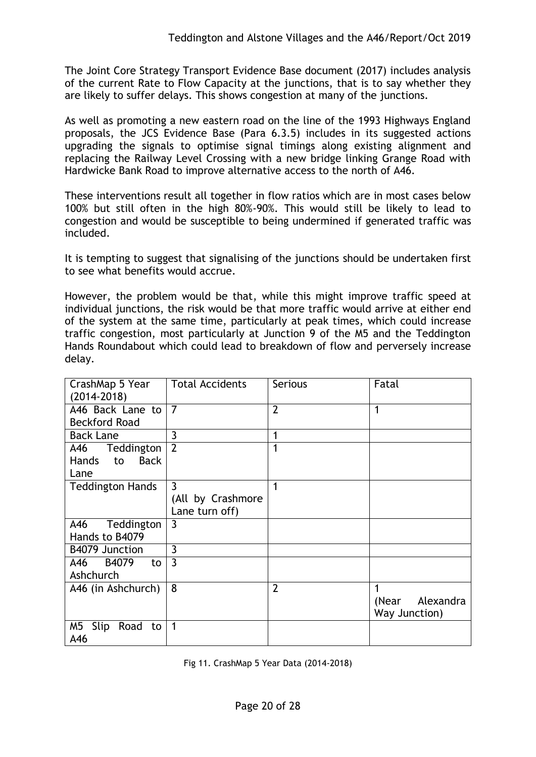The Joint Core Strategy Transport Evidence Base document (2017) includes analysis of the current Rate to Flow Capacity at the junctions, that is to say whether they are likely to suffer delays. This shows congestion at many of the junctions.

As well as promoting a new eastern road on the line of the 1993 Highways England proposals, the JCS Evidence Base (Para 6.3.5) includes in its suggested actions upgrading the signals to optimise signal timings along existing alignment and replacing the Railway Level Crossing with a new bridge linking Grange Road with Hardwicke Bank Road to improve alternative access to the north of A46.

These interventions result all together in flow ratios which are in most cases below 100% but still often in the high 80%-90%. This would still be likely to lead to congestion and would be susceptible to being undermined if generated traffic was included.

It is tempting to suggest that signalising of the junctions should be undertaken first to see what benefits would accrue.

However, the problem would be that, while this might improve traffic speed at individual junctions, the risk would be that more traffic would arrive at either end of the system at the same time, particularly at peak times, which could increase traffic congestion, most particularly at Junction 9 of the M5 and the Teddington Hands Roundabout which could lead to breakdown of flow and perversely increase delay.

| CrashMap 5 Year<br>$(2014 - 2018)$                      | <b>Total Accidents</b>                                | <b>Serious</b> | Fatal                                    |
|---------------------------------------------------------|-------------------------------------------------------|----------------|------------------------------------------|
| A46 Back Lane to<br><b>Beckford Road</b>                | $\overline{7}$                                        | $\overline{2}$ | 1                                        |
| <b>Back Lane</b>                                        | 3                                                     | $\mathbf{1}$   |                                          |
| A46<br>Teddington<br><b>Back</b><br>Hands<br>to<br>Lane | $\overline{2}$                                        | 1              |                                          |
| <b>Teddington Hands</b>                                 | $\overline{3}$<br>(All by Crashmore<br>Lane turn off) | 1              |                                          |
| A46<br>Teddington<br>Hands to B4079                     | $\overline{3}$                                        |                |                                          |
| B4079 Junction                                          | 3                                                     |                |                                          |
| B4079<br>A46<br>to<br>Ashchurch                         | $\overline{3}$                                        |                |                                          |
| A46 (in Ashchurch)                                      | 8                                                     | $\overline{2}$ | 1<br>Alexandra<br>(Near<br>Way Junction) |
| M5<br>Slip Road to<br>A46                               | $\mathbf{1}$                                          |                |                                          |

Fig 11. CrashMap 5 Year Data (2014-2018)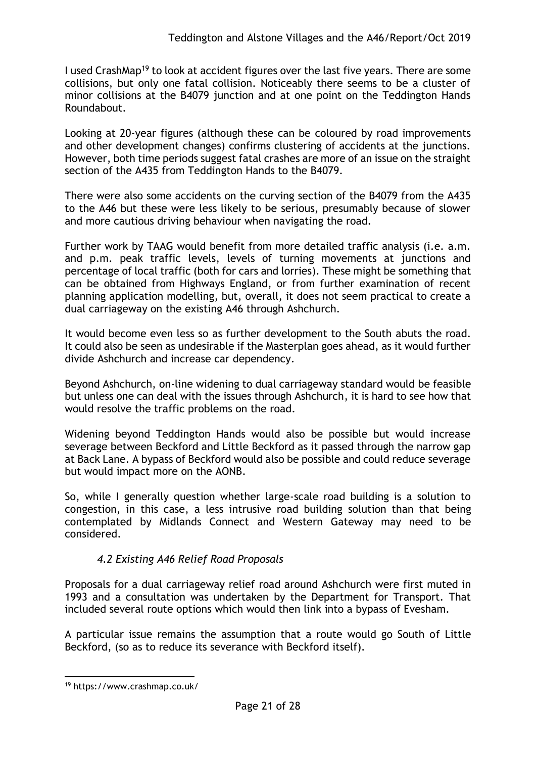I used CrashMap<sup>19</sup> to look at accident figures over the last five years. There are some collisions, but only one fatal collision. Noticeably there seems to be a cluster of minor collisions at the B4079 junction and at one point on the Teddington Hands Roundabout.

Looking at 20-year figures (although these can be coloured by road improvements and other development changes) confirms clustering of accidents at the junctions. However, both time periods suggest fatal crashes are more of an issue on the straight section of the A435 from Teddington Hands to the B4079.

There were also some accidents on the curving section of the B4079 from the A435 to the A46 but these were less likely to be serious, presumably because of slower and more cautious driving behaviour when navigating the road.

Further work by TAAG would benefit from more detailed traffic analysis (i.e. a.m. and p.m. peak traffic levels, levels of turning movements at junctions and percentage of local traffic (both for cars and lorries). These might be something that can be obtained from Highways England, or from further examination of recent planning application modelling, but, overall, it does not seem practical to create a dual carriageway on the existing A46 through Ashchurch.

It would become even less so as further development to the South abuts the road. It could also be seen as undesirable if the Masterplan goes ahead, as it would further divide Ashchurch and increase car dependency.

Beyond Ashchurch, on-line widening to dual carriageway standard would be feasible but unless one can deal with the issues through Ashchurch, it is hard to see how that would resolve the traffic problems on the road.

Widening beyond Teddington Hands would also be possible but would increase severage between Beckford and Little Beckford as it passed through the narrow gap at Back Lane. A bypass of Beckford would also be possible and could reduce severage but would impact more on the AONB.

So, while I generally question whether large-scale road building is a solution to congestion, in this case, a less intrusive road building solution than that being contemplated by Midlands Connect and Western Gateway may need to be considered.

## *4.2 Existing A46 Relief Road Proposals*

Proposals for a dual carriageway relief road around Ashchurch were first muted in 1993 and a consultation was undertaken by the Department for Transport. That included several route options which would then link into a bypass of Evesham.

A particular issue remains the assumption that a route would go South of Little Beckford, (so as to reduce its severance with Beckford itself).

<sup>1</sup> <sup>19</sup> https://www.crashmap.co.uk/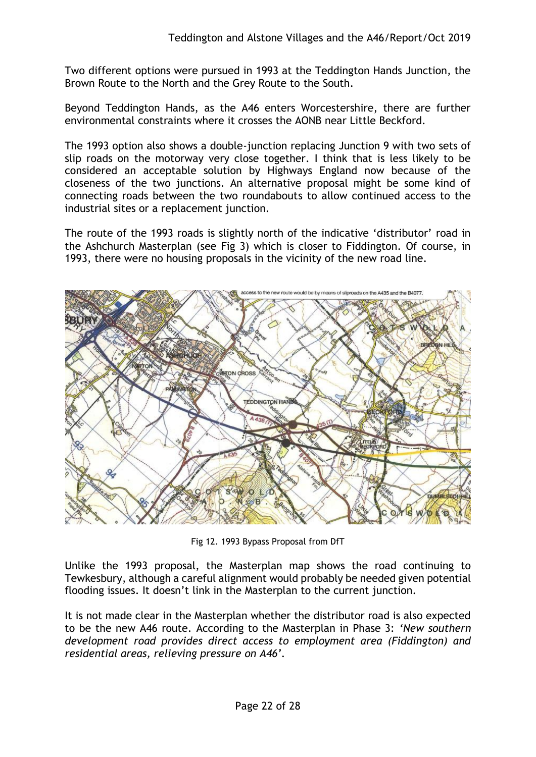Two different options were pursued in 1993 at the Teddington Hands Junction, the Brown Route to the North and the Grey Route to the South.

Beyond Teddington Hands, as the A46 enters Worcestershire, there are further environmental constraints where it crosses the AONB near Little Beckford.

The 1993 option also shows a double-junction replacing Junction 9 with two sets of slip roads on the motorway very close together. I think that is less likely to be considered an acceptable solution by Highways England now because of the closeness of the two junctions. An alternative proposal might be some kind of connecting roads between the two roundabouts to allow continued access to the industrial sites or a replacement junction.

The route of the 1993 roads is slightly north of the indicative 'distributor' road in the Ashchurch Masterplan (see Fig 3) which is closer to Fiddington. Of course, in 1993, there were no housing proposals in the vicinity of the new road line.



Fig 12. 1993 Bypass Proposal from DfT

Unlike the 1993 proposal, the Masterplan map shows the road continuing to Tewkesbury, although a careful alignment would probably be needed given potential flooding issues. It doesn't link in the Masterplan to the current junction.

It is not made clear in the Masterplan whether the distributor road is also expected to be the new A46 route. According to the Masterplan in Phase 3: *'New southern development road provides direct access to employment area (Fiddington) and residential areas, relieving pressure on A46'.*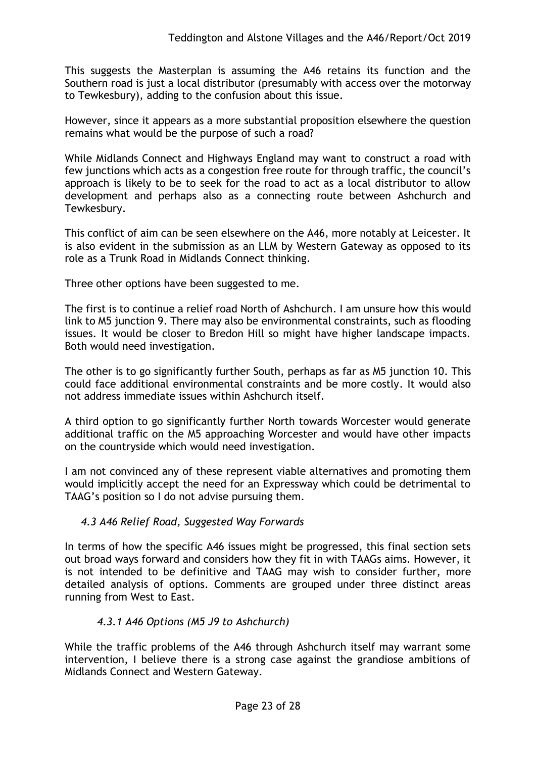This suggests the Masterplan is assuming the A46 retains its function and the Southern road is just a local distributor (presumably with access over the motorway to Tewkesbury), adding to the confusion about this issue.

However, since it appears as a more substantial proposition elsewhere the question remains what would be the purpose of such a road?

While Midlands Connect and Highways England may want to construct a road with few junctions which acts as a congestion free route for through traffic, the council's approach is likely to be to seek for the road to act as a local distributor to allow development and perhaps also as a connecting route between Ashchurch and Tewkesbury.

This conflict of aim can be seen elsewhere on the A46, more notably at Leicester. It is also evident in the submission as an LLM by Western Gateway as opposed to its role as a Trunk Road in Midlands Connect thinking.

Three other options have been suggested to me.

The first is to continue a relief road North of Ashchurch. I am unsure how this would link to M5 junction 9. There may also be environmental constraints, such as flooding issues. It would be closer to Bredon Hill so might have higher landscape impacts. Both would need investigation.

The other is to go significantly further South, perhaps as far as M5 junction 10. This could face additional environmental constraints and be more costly. It would also not address immediate issues within Ashchurch itself.

A third option to go significantly further North towards Worcester would generate additional traffic on the M5 approaching Worcester and would have other impacts on the countryside which would need investigation.

I am not convinced any of these represent viable alternatives and promoting them would implicitly accept the need for an Expressway which could be detrimental to TAAG's position so I do not advise pursuing them.

## *4.3 A46 Relief Road, Suggested Way Forwards*

In terms of how the specific A46 issues might be progressed, this final section sets out broad ways forward and considers how they fit in with TAAGs aims. However, it is not intended to be definitive and TAAG may wish to consider further, more detailed analysis of options. Comments are grouped under three distinct areas running from West to East.

## *4.3.1 A46 Options (M5 J9 to Ashchurch)*

While the traffic problems of the A46 through Ashchurch itself may warrant some intervention, I believe there is a strong case against the grandiose ambitions of Midlands Connect and Western Gateway.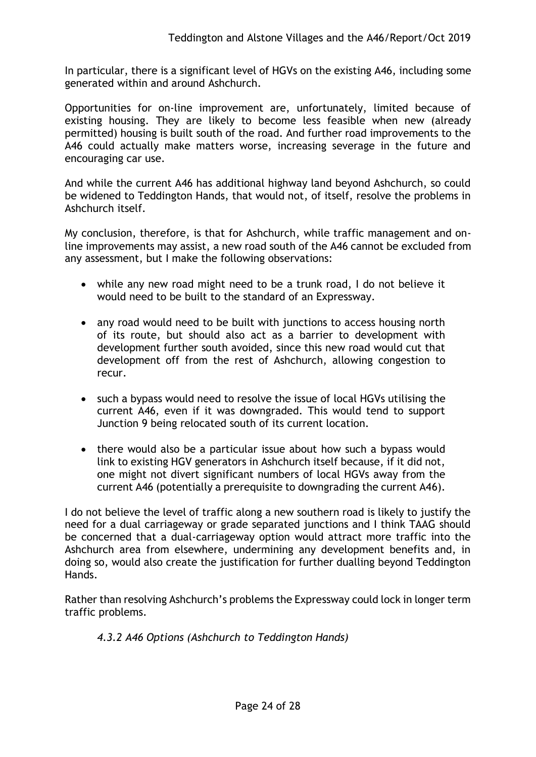In particular, there is a significant level of HGVs on the existing A46, including some generated within and around Ashchurch.

Opportunities for on-line improvement are, unfortunately, limited because of existing housing. They are likely to become less feasible when new (already permitted) housing is built south of the road. And further road improvements to the A46 could actually make matters worse, increasing severage in the future and encouraging car use.

And while the current A46 has additional highway land beyond Ashchurch, so could be widened to Teddington Hands, that would not, of itself, resolve the problems in Ashchurch itself.

My conclusion, therefore, is that for Ashchurch, while traffic management and online improvements may assist, a new road south of the A46 cannot be excluded from any assessment, but I make the following observations:

- while any new road might need to be a trunk road, I do not believe it would need to be built to the standard of an Expressway.
- any road would need to be built with junctions to access housing north of its route, but should also act as a barrier to development with development further south avoided, since this new road would cut that development off from the rest of Ashchurch, allowing congestion to recur.
- such a bypass would need to resolve the issue of local HGVs utilising the current A46, even if it was downgraded. This would tend to support Junction 9 being relocated south of its current location.
- there would also be a particular issue about how such a bypass would link to existing HGV generators in Ashchurch itself because, if it did not, one might not divert significant numbers of local HGVs away from the current A46 (potentially a prerequisite to downgrading the current A46).

I do not believe the level of traffic along a new southern road is likely to justify the need for a dual carriageway or grade separated junctions and I think TAAG should be concerned that a dual-carriageway option would attract more traffic into the Ashchurch area from elsewhere, undermining any development benefits and, in doing so, would also create the justification for further dualling beyond Teddington Hands.

Rather than resolving Ashchurch's problems the Expressway could lock in longer term traffic problems.

## *4.3.2 A46 Options (Ashchurch to Teddington Hands)*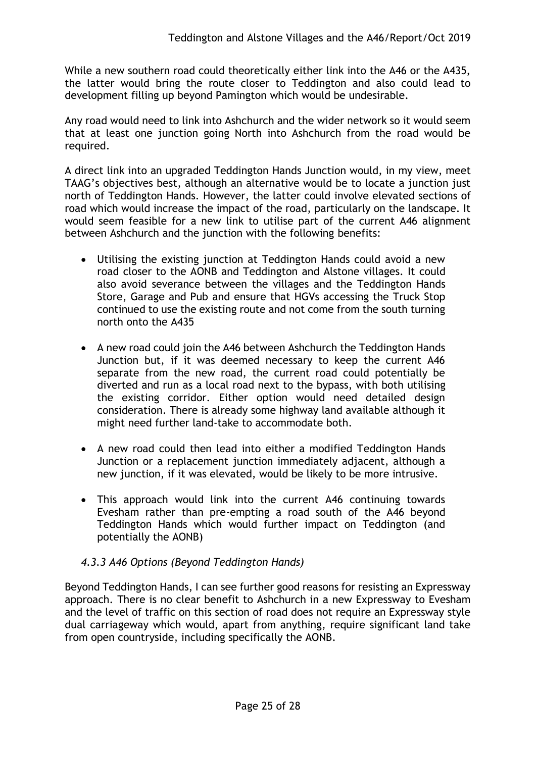While a new southern road could theoretically either link into the A46 or the A435, the latter would bring the route closer to Teddington and also could lead to development filling up beyond Pamington which would be undesirable.

Any road would need to link into Ashchurch and the wider network so it would seem that at least one junction going North into Ashchurch from the road would be required.

A direct link into an upgraded Teddington Hands Junction would, in my view, meet TAAG's objectives best, although an alternative would be to locate a junction just north of Teddington Hands. However, the latter could involve elevated sections of road which would increase the impact of the road, particularly on the landscape. It would seem feasible for a new link to utilise part of the current A46 alignment between Ashchurch and the junction with the following benefits:

- Utilising the existing junction at Teddington Hands could avoid a new road closer to the AONB and Teddington and Alstone villages. It could also avoid severance between the villages and the Teddington Hands Store, Garage and Pub and ensure that HGVs accessing the Truck Stop continued to use the existing route and not come from the south turning north onto the A435
- A new road could join the A46 between Ashchurch the Teddington Hands Junction but, if it was deemed necessary to keep the current A46 separate from the new road, the current road could potentially be diverted and run as a local road next to the bypass, with both utilising the existing corridor. Either option would need detailed design consideration. There is already some highway land available although it might need further land-take to accommodate both.
- A new road could then lead into either a modified Teddington Hands Junction or a replacement junction immediately adjacent, although a new junction, if it was elevated, would be likely to be more intrusive.
- This approach would link into the current A46 continuing towards Evesham rather than pre-empting a road south of the A46 beyond Teddington Hands which would further impact on Teddington (and potentially the AONB)

## *4.3.3 A46 Options (Beyond Teddington Hands)*

Beyond Teddington Hands, I can see further good reasons for resisting an Expressway approach. There is no clear benefit to Ashchurch in a new Expressway to Evesham and the level of traffic on this section of road does not require an Expressway style dual carriageway which would, apart from anything, require significant land take from open countryside, including specifically the AONB.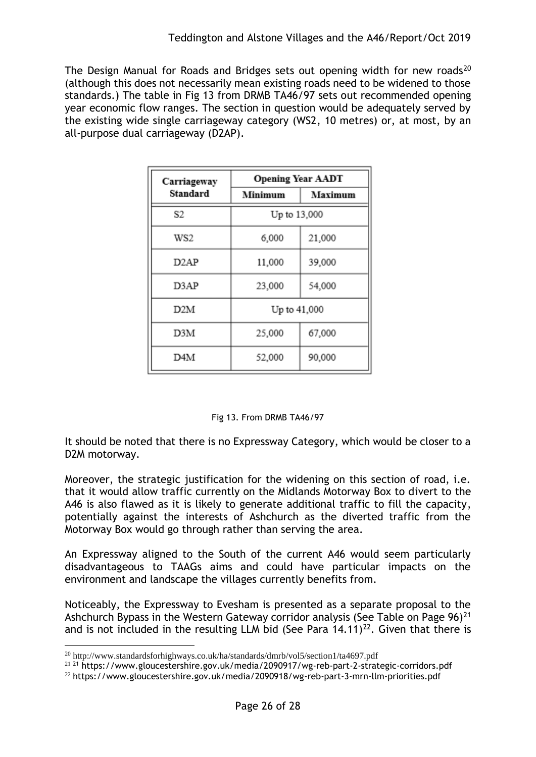The Design Manual for Roads and Bridges sets out opening width for new roads<sup>20</sup> (although this does not necessarily mean existing roads need to be widened to those standards.) The table in Fig 13 from DRMB TA46/97 sets out recommended opening year economic flow ranges. The section in question would be adequately served by the existing wide single carriageway category (WS2, 10 metres) or, at most, by an all-purpose dual carriageway (D2AP).

| Carriageway       | <b>Opening Year AADT</b> |         |  |  |
|-------------------|--------------------------|---------|--|--|
| Standard          | Minimum                  | Maximum |  |  |
| S2                | Up to 13,000             |         |  |  |
| WS2               | 6,000                    | 21,000  |  |  |
| D <sub>2</sub> AP | 11,000                   | 39,000  |  |  |
| D3AP              | 23,000                   | 54,000  |  |  |
| D2M               | Up to 41,000             |         |  |  |
| D3M               | 25,000                   | 67,000  |  |  |
| D4M               | 52,000                   | 90,000  |  |  |

#### Fig 13. From DRMB TA46/97

It should be noted that there is no Expressway Category, which would be closer to a D2M motorway.

Moreover, the strategic justification for the widening on this section of road, i.e. that it would allow traffic currently on the Midlands Motorway Box to divert to the A46 is also flawed as it is likely to generate additional traffic to fill the capacity, potentially against the interests of Ashchurch as the diverted traffic from the Motorway Box would go through rather than serving the area.

An Expressway aligned to the South of the current A46 would seem particularly disadvantageous to TAAGs aims and could have particular impacts on the environment and landscape the villages currently benefits from.

Noticeably, the Expressway to Evesham is presented as a separate proposal to the Ashchurch Bypass in the Western Gateway corridor analysis (See Table on Page  $96)^{21}$ and is not included in the resulting LLM bid (See Para  $14.11$ )<sup>22</sup>. Given that there is

1

<sup>&</sup>lt;sup>20</sup> http://www.standardsforhighways.co.uk/ha/standards/dmrb/vol5/section1/ta4697.pdf

<sup>&</sup>lt;sup>21</sup> <sup>21</sup> https://www.gloucestershire.gov.uk/media/2090917/wg-reb-part-2-strategic-corridors.pdf

<sup>22</sup> https://www.gloucestershire.gov.uk/media/2090918/wg-reb-part-3-mrn-llm-priorities.pdf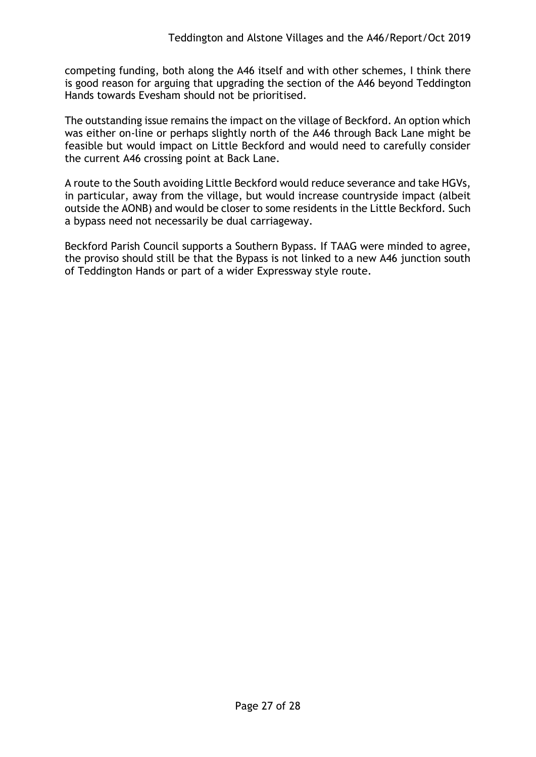competing funding, both along the A46 itself and with other schemes, I think there is good reason for arguing that upgrading the section of the A46 beyond Teddington Hands towards Evesham should not be prioritised.

The outstanding issue remains the impact on the village of Beckford. An option which was either on-line or perhaps slightly north of the A46 through Back Lane might be feasible but would impact on Little Beckford and would need to carefully consider the current A46 crossing point at Back Lane.

A route to the South avoiding Little Beckford would reduce severance and take HGVs, in particular, away from the village, but would increase countryside impact (albeit outside the AONB) and would be closer to some residents in the Little Beckford. Such a bypass need not necessarily be dual carriageway.

Beckford Parish Council supports a Southern Bypass. If TAAG were minded to agree, the proviso should still be that the Bypass is not linked to a new A46 junction south of Teddington Hands or part of a wider Expressway style route.